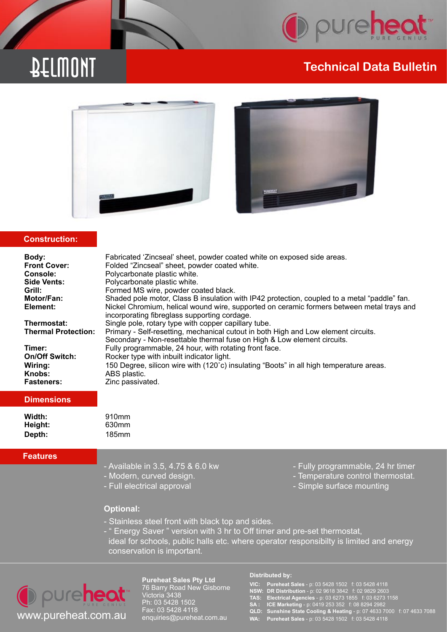

# DELMONT

# **Technical Data Bulletin**





## **Construction:**

|  | Body:<br><b>Front Cover:</b><br>Console:<br>Side Vents:<br>Grill:<br>Motor/Fan:<br>Element:<br>Thermostat:<br><b>Thermal Protection:</b><br>Timer:<br><b>On/Off Switch:</b><br>Wiring:<br>Knobs:<br><b>Fasteners:</b> | Fabricated 'Zincseal' sheet, powder coated white on exposed side areas.<br>Folded "Zincseal" sheet, powder coated white.<br>Polycarbonate plastic white.<br>Polycarbonate plastic white.<br>Formed MS wire, powder coated black.<br>Shaded pole motor, Class B insulation with IP42 protection, coupled to a metal "paddle" fan.<br>Nickel Chromium, helical wound wire, supported on ceramic formers between metal trays and<br>incorporating fibreglass supporting cordage.<br>Single pole, rotary type with copper capillary tube.<br>Primary - Self-resetting, mechanical cutout in both High and Low element circuits.<br>Secondary - Non-resettable thermal fuse on High & Low element circuits.<br>Fully programmable, 24 hour, with rotating front face.<br>Rocker type with inbuilt indicator light.<br>150 Degree, silicon wire with (120°c) insulating "Boots" in all high temperature areas.<br>ABS plastic.<br>Zinc passivated. |
|--|-----------------------------------------------------------------------------------------------------------------------------------------------------------------------------------------------------------------------|----------------------------------------------------------------------------------------------------------------------------------------------------------------------------------------------------------------------------------------------------------------------------------------------------------------------------------------------------------------------------------------------------------------------------------------------------------------------------------------------------------------------------------------------------------------------------------------------------------------------------------------------------------------------------------------------------------------------------------------------------------------------------------------------------------------------------------------------------------------------------------------------------------------------------------------------|
|--|-----------------------------------------------------------------------------------------------------------------------------------------------------------------------------------------------------------------------|----------------------------------------------------------------------------------------------------------------------------------------------------------------------------------------------------------------------------------------------------------------------------------------------------------------------------------------------------------------------------------------------------------------------------------------------------------------------------------------------------------------------------------------------------------------------------------------------------------------------------------------------------------------------------------------------------------------------------------------------------------------------------------------------------------------------------------------------------------------------------------------------------------------------------------------------|

## **Dimensions**

| Width:  | 910 <sub>mm</sub> |
|---------|-------------------|
| Height: | 630mm             |
| Depth:  | 185mm             |

### **Features**

- 
- 
- 
- Available in 3.5, 4.75 & 6.0 kw
- Modern, curved design.  $\blacksquare$
- Full electrical approval and the state of Simple surface mounting

## **Optional:**

- Stainless steel front with black top and sides.
- " Energy Saver " version with 3 hr to Off timer and pre-set thermostat,
- ideal for schools, public halls etc. where operator responsibilty is limited and energy conservation is important.



**Pureheat Sales Pty Ltd** 76 Barry Road New Gisborne Victoria 3438 Ph: 03 5428 1502 Fax: 03 5428 4118 enquiries@pureheat.com.au

#### **Distributed by:**

**VIC: Pureheat Sales** - p: 03 5428 1502 f: 03 5428 4118

- **NSW: DR Distribution** p: 02 9618 3842 f: 02 9829 2603
- **TAS: Electrical Agencies** p: 03 6273 1855 f: 03 6273 1158
	- **SA : ICE Marketing** p: 0419 253 352 f: 08 8294 2982
	- **QLD: Sunshine State Cooling & Heating** p: 07 4633 7000 f: 07 4633 7088
	- **WA: Pureheat Sales** p: 03 5428 1502 f: 03 5428 4118